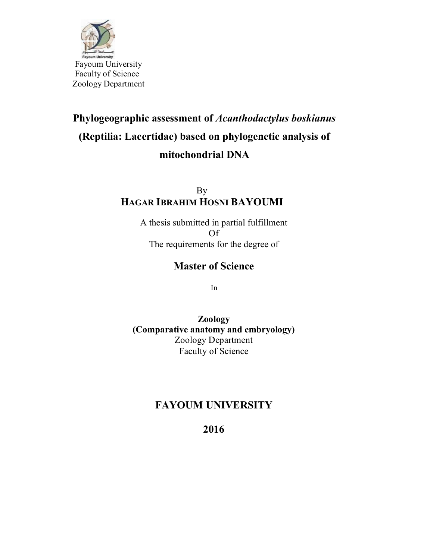

# **Phylogeographic assessment of** *Acanthodactylus boskianus*  **(Reptilia: Lacertidae) based on phylogenetic analysis of mitochondrial DNA**

By **HAGAR IBRAHIM HOSNI BAYOUMI**

> A thesis submitted in partial fulfillment Of The requirements for the degree of

### **Master of Science**

In

**Zoology (Comparative anatomy and embryology)** Zoology Department Faculty of Science

## **FAYOUM UNIVERSITY**

**2016**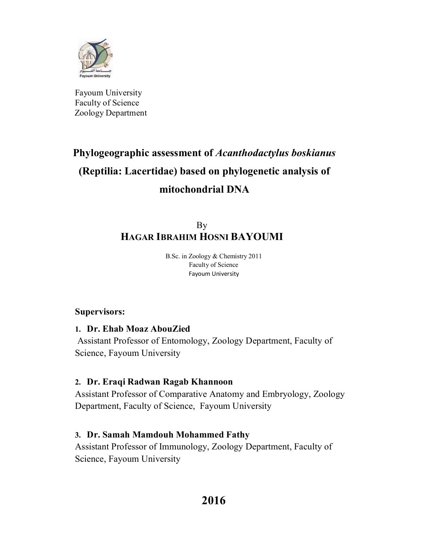

Fayoum University Faculty of Science Zoology Department

# **Phylogeographic assessment of** *Acanthodactylus boskianus*  **(Reptilia: Lacertidae) based on phylogenetic analysis of mitochondrial DNA**

By **HAGAR IBRAHIM HOSNI BAYOUMI**

> B.Sc. in Zoology & Chemistry 2011 Faculty of Science Fayoum University

### **Supervisors:**

**1. Dr. Ehab Moaz AbouZied** 

Assistant Professor of Entomology, Zoology Department, Faculty of Science, Fayoum University

### **2. Dr. Eraqi Radwan Ragab Khannoon**

Assistant Professor of Comparative Anatomy and Embryology, Zoology Department, Faculty of Science, Fayoum University

### **3. Dr. Samah Mamdouh Mohammed Fathy**

Assistant Professor of Immunology, Zoology Department, Faculty of Science, Fayoum University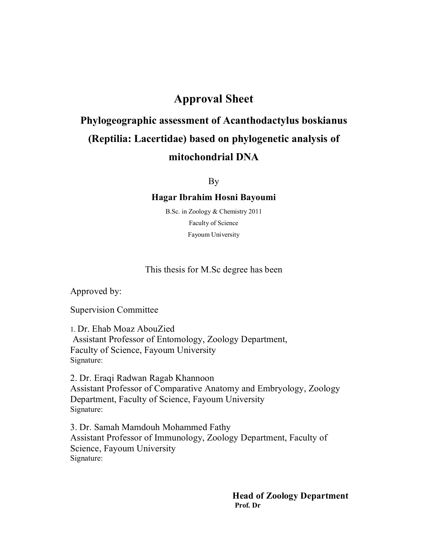### **Approval Sheet**

# **Phylogeographic assessment of Acanthodactylus boskianus (Reptilia: Lacertidae) based on phylogenetic analysis of mitochondrial DNA**

By

#### **Hagar Ibrahim Hosni Bayoumi**

B.Sc. in Zoology & Chemistry 2011 Faculty of Science Fayoum University

This thesis for M.Sc degree has been

Approved by:

Supervision Committee

1. Dr. Ehab Moaz AbouZied Assistant Professor of Entomology, Zoology Department, Faculty of Science, Fayoum University Signature:

2. Dr. Eraqi Radwan Ragab Khannoon Assistant Professor of Comparative Anatomy and Embryology, Zoology Department, Faculty of Science, Fayoum University Signature:

3. Dr. Samah Mamdouh Mohammed Fathy Assistant Professor of Immunology, Zoology Department, Faculty of Science, Fayoum University Signature:

> **Head of Zoology Department Prof. Dr**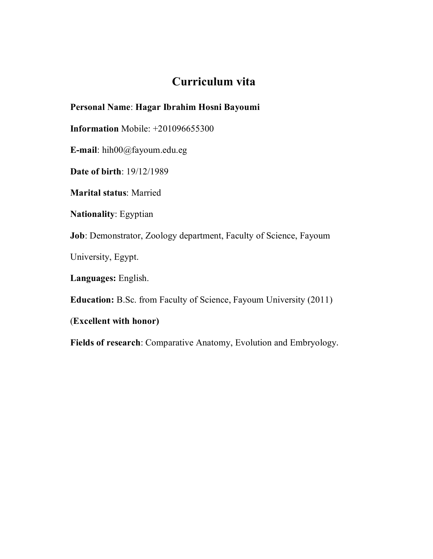## **Curriculum vita**

#### **Personal Name**: **Hagar Ibrahim Hosni Bayoumi**

**Information** Mobile: +201096655300

**E-mail**: hih00@fayoum.edu.eg

**Date of birth**: 19/12/1989

**Marital status**: Married

**Nationality**: Egyptian

**Job**: Demonstrator, Zoology department, Faculty of Science, Fayoum

University, Egypt.

**Languages:** English.

**Education:** B.Sc. from Faculty of Science, Fayoum University (2011)

(**Excellent with honor)** 

**Fields of research**: Comparative Anatomy, Evolution and Embryology.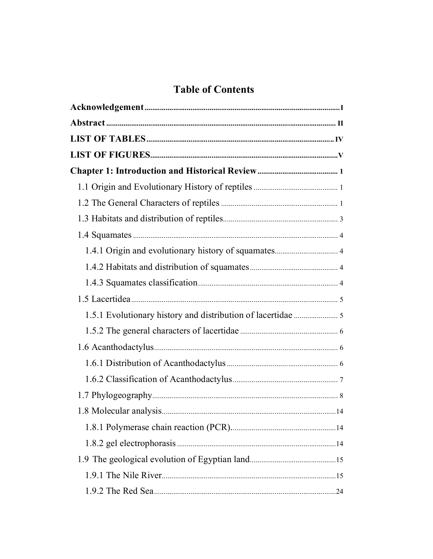# **Table of Contents**